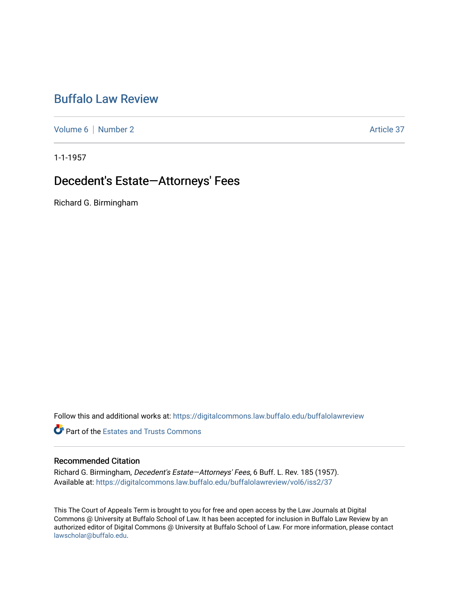# [Buffalo Law Review](https://digitalcommons.law.buffalo.edu/buffalolawreview)

[Volume 6](https://digitalcommons.law.buffalo.edu/buffalolawreview/vol6) | [Number 2](https://digitalcommons.law.buffalo.edu/buffalolawreview/vol6/iss2) Article 37

1-1-1957

## Decedent's Estate-Attorneys' Fees

Richard G. Birmingham

Follow this and additional works at: [https://digitalcommons.law.buffalo.edu/buffalolawreview](https://digitalcommons.law.buffalo.edu/buffalolawreview?utm_source=digitalcommons.law.buffalo.edu%2Fbuffalolawreview%2Fvol6%2Fiss2%2F37&utm_medium=PDF&utm_campaign=PDFCoverPages) 

*O* Part of the Estates and Trusts Commons

### Recommended Citation

Richard G. Birmingham, Decedent's Estate—Attorneys' Fees, 6 Buff. L. Rev. 185 (1957). Available at: [https://digitalcommons.law.buffalo.edu/buffalolawreview/vol6/iss2/37](https://digitalcommons.law.buffalo.edu/buffalolawreview/vol6/iss2/37?utm_source=digitalcommons.law.buffalo.edu%2Fbuffalolawreview%2Fvol6%2Fiss2%2F37&utm_medium=PDF&utm_campaign=PDFCoverPages) 

This The Court of Appeals Term is brought to you for free and open access by the Law Journals at Digital Commons @ University at Buffalo School of Law. It has been accepted for inclusion in Buffalo Law Review by an authorized editor of Digital Commons @ University at Buffalo School of Law. For more information, please contact [lawscholar@buffalo.edu](mailto:lawscholar@buffalo.edu).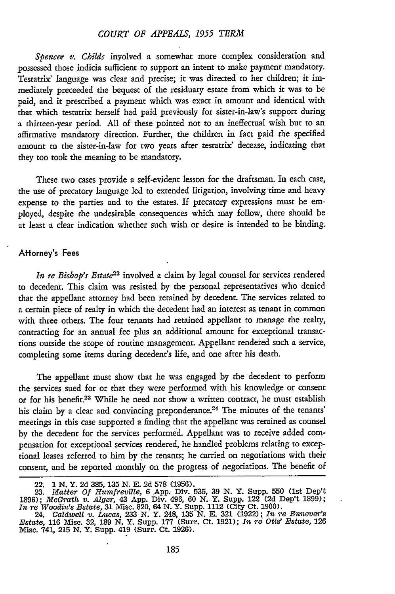#### *COURT OF APPEALS, 1955 TERM*

*Spencer v. Childs* inyolved a somewhat more complex consideration and possessed those indicia sufficient to support an intent to make payment mandatory. Testatrix' language was clear and precise; it was directed to her children; it immediately preceeded the bequest of the residuary estate from which it was to be paid, and it prescribed a payment which was exact in amount and identical with that which testatrix herself had paid previously for sister-in-law's support during a thirteen-year period. All of these pointed not to an ineffectual wish but to an affirmative mandatory direction. Further, the children in fact paid the specified amount to the sister-in-law for two years after testatrix' decease, indicating that they too took the meaning to be mandatory.

These two cases provide a self-evident lesson for the draftsman. In each case, the use of precatory language led to extended litigation, involving time and heavy expense to the parties and to the estates. If precatory expressions must be employed, despite the undesirable consequences which may follow, there should be at least a clear indication whether such wish or desire is intended to be binding.

#### **Attorney's Fees**

*In re Bishop's Estate22* involved a claim by legal counsel for services rendered to decedent. This claim was resisted by the personal representatives who denied that the appellant attorney had been retained by decedent. The services related to a certain piece of realty in which the decedent had an interest as, tenant in common with three others. The four tenants had retained appellant to manage the realty, contracting for an annual fee plus an additional amount for exceptional transactions outside the scope of routine management. Appellant rendered such a service, completing some items during decedent's life, and one after his death.

The appellant must show that he was engaged by the decedent to perform the services sued for or that they were performed with his knowledge or consent or for his benefit.<sup>23</sup> While he need not show a written contract, he must establish his claim by a clear and convincing preponderance.<sup>24</sup> The minutes of the tenants' meetings in this case supported a finding that the appellant was retained as counsel by the decedent for the services performed. Appellant was to receive added compensation for exceptional services rendered, he handled problems relating to exceptional leases referred to him by the tenants; he carried on negotiations with their consent, and he reported monthly on the progress of negotiations. The benefit of

<sup>22.</sup> **1 N.** Y. **2d** 385, **135 N. E. 2d** 578 (1956). **23.** *Matter Of Humfreville,* 6 App. Div. 535, **39 N.** Y. Supp. 550 (1st Dep't 1896); *McGrath. v. Alger,* 43 App. Div. 496, 60 N..Y. Supp. 122 **(2d** Dep't 1899); *In r'e Woodin's Estate,* **31** Misc. 820, 64 N. Y. Supp. 1112 (City Ct. 1900). 24. *Caldwell* v. *Lucas,* **233** N. Y. 248, **135** N. **E. 321** (1922); *In re Ennever's*

*Estate,* **116** Misc. **32, 189** N. Y. Supp. **177** (Surr. Ct. 1921); *In re Otis' Estate,* **<sup>126</sup>** Misc. 741, **215** *N.* Y. Supp. 419 (Surr. Ct. 1926).